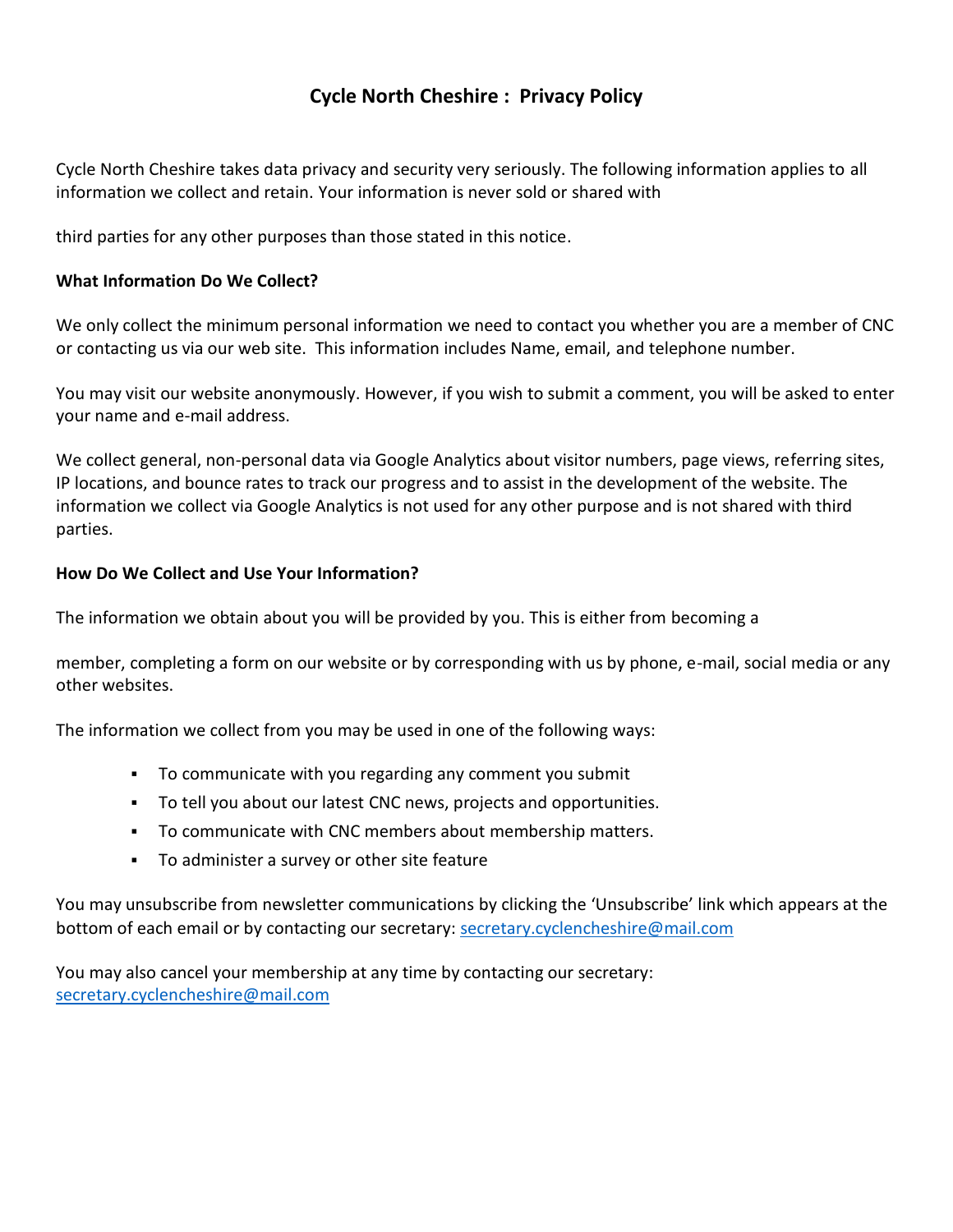# **Cycle North Cheshire : Privacy Policy**

Cycle North Cheshire takes data privacy and security very seriously. The following information applies to all information we collect and retain. Your information is never sold or shared with

third parties for any other purposes than those stated in this notice.

# **What Information Do We Collect?**

We only collect the minimum personal information we need to contact you whether you are a member of CNC or contacting us via our web site. This information includes Name, email, and telephone number.

You may visit our website anonymously. However, if you wish to submit a comment, you will be asked to enter your name and e-mail address.

We collect general, non-personal data via Google Analytics about visitor numbers, page views, referring sites, IP locations, and bounce rates to track our progress and to assist in the development of the website. The information we collect via Google Analytics is not used for any other purpose and is not shared with third parties.

## **How Do We Collect and Use Your Information?**

The information we obtain about you will be provided by you. This is either from becoming a

member, completing a form on our website or by corresponding with us by phone, e-mail, social media or any other websites.

The information we collect from you may be used in one of the following ways:

- To communicate with you regarding any comment you submit
- To tell you about our latest CNC news, projects and opportunities.
- To communicate with CNC members about membership matters.
- To administer a survey or other site feature

You may unsubscribe from newsletter communications by clicking the 'Unsubscribe' link which appears at the bottom of each email or by contacting our secretary: [secretary.cyclencheshire@mail.com](mailto:secretary.cyclencheshire@mail.com)

You may also cancel your membership at any time by contacting our secretary: [secretary.cyclencheshire@mail.com](mailto:secretary.cyclencheshire@mail.com)